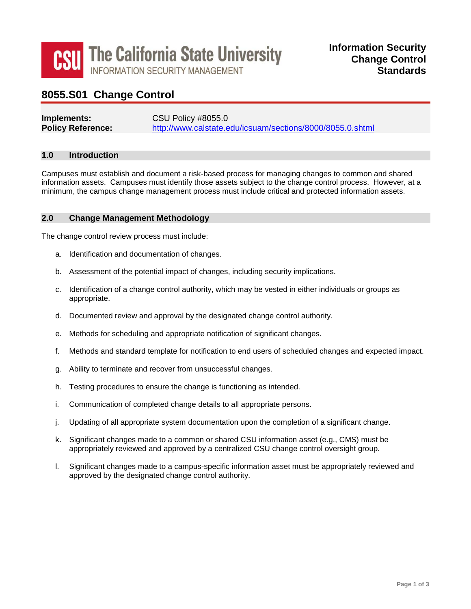

# **8055.S01 Change Control**

| Implements:              | <b>CSU Policy #8055.0</b>                                 |
|--------------------------|-----------------------------------------------------------|
| <b>Policy Reference:</b> | http://www.calstate.edu/icsuam/sections/8000/8055.0.shtml |

#### **1.0 Introduction**

Campuses must establish and document a risk-based process for managing changes to common and shared information assets. Campuses must identify those assets subject to the change control process. However, at a minimum, the campus change management process must include critical and protected information assets.

#### **2.0 Change Management Methodology**

The change control review process must include:

- a. Identification and documentation of changes.
- b. Assessment of the potential impact of changes, including security implications.
- c. Identification of a change control authority, which may be vested in either individuals or groups as appropriate.
- d. Documented review and approval by the designated change control authority.
- e. Methods for scheduling and appropriate notification of significant changes.
- f. Methods and standard template for notification to end users of scheduled changes and expected impact.
- g. Ability to terminate and recover from unsuccessful changes.
- h. Testing procedures to ensure the change is functioning as intended.
- i. Communication of completed change details to all appropriate persons.
- j. Updating of all appropriate system documentation upon the completion of a significant change.
- k. Significant changes made to a common or shared CSU information asset (e.g., CMS) must be appropriately reviewed and approved by a centralized CSU change control oversight group.
- approved by the designated change control authority. l. Significant changes made to a campus-specific information asset must be appropriately reviewed and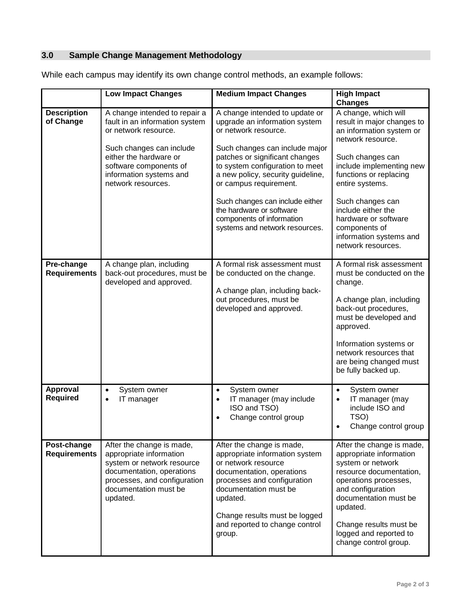# **3.0 Sample Change Management Methodology**

|                                    | <b>Low Impact Changes</b>                                                                                                                                                                                                | <b>Medium Impact Changes</b>                                                                                                                                                                                                                                                                                                                                                                | <b>High Impact</b><br><b>Changes</b>                                                                                                                                                                                                                                                                                                 |
|------------------------------------|--------------------------------------------------------------------------------------------------------------------------------------------------------------------------------------------------------------------------|---------------------------------------------------------------------------------------------------------------------------------------------------------------------------------------------------------------------------------------------------------------------------------------------------------------------------------------------------------------------------------------------|--------------------------------------------------------------------------------------------------------------------------------------------------------------------------------------------------------------------------------------------------------------------------------------------------------------------------------------|
| <b>Description</b><br>of Change    | A change intended to repair a<br>fault in an information system<br>or network resource.<br>Such changes can include<br>either the hardware or<br>software components of<br>information systems and<br>network resources. | A change intended to update or<br>upgrade an information system<br>or network resource.<br>Such changes can include major<br>patches or significant changes<br>to system configuration to meet<br>a new policy, security guideline,<br>or campus requirement.<br>Such changes can include either<br>the hardware or software<br>components of information<br>systems and network resources. | A change, which will<br>result in major changes to<br>an information system or<br>network resource.<br>Such changes can<br>include implementing new<br>functions or replacing<br>entire systems.<br>Such changes can<br>include either the<br>hardware or software<br>components of<br>information systems and<br>network resources. |
| Pre-change<br><b>Requirements</b>  | A change plan, including<br>back-out procedures, must be<br>developed and approved.                                                                                                                                      | A formal risk assessment must<br>be conducted on the change.<br>A change plan, including back-<br>out procedures, must be<br>developed and approved.                                                                                                                                                                                                                                        | A formal risk assessment<br>must be conducted on the<br>change.<br>A change plan, including<br>back-out procedures,<br>must be developed and<br>approved.<br>Information systems or<br>network resources that<br>are being changed must<br>be fully backed up.                                                                       |
| Approval<br><b>Required</b>        | System owner<br>$\bullet$<br>IT manager<br>$\bullet$                                                                                                                                                                     | System owner<br>$\bullet$<br>IT manager (may include<br>$\bullet$<br>ISO and TSO)<br>Change control group                                                                                                                                                                                                                                                                                   | System owner<br>$\bullet$<br>IT manager (may<br>$\bullet$<br>include ISO and<br>TSO)<br>Change control group                                                                                                                                                                                                                         |
| Post-change<br><b>Requirements</b> | After the change is made,<br>appropriate information<br>system or network resource<br>documentation, operations<br>processes, and configuration<br>documentation must be<br>updated.                                     | After the change is made,<br>appropriate information system<br>or network resource<br>documentation, operations<br>processes and configuration<br>documentation must be<br>updated.<br>Change results must be logged<br>and reported to change control<br>group.                                                                                                                            | After the change is made,<br>appropriate information<br>system or network<br>resource documentation,<br>operations processes,<br>and configuration<br>documentation must be<br>updated.<br>Change results must be<br>logged and reported to<br>change control group.                                                                 |

While each campus may identify its own change control methods, an example follows: